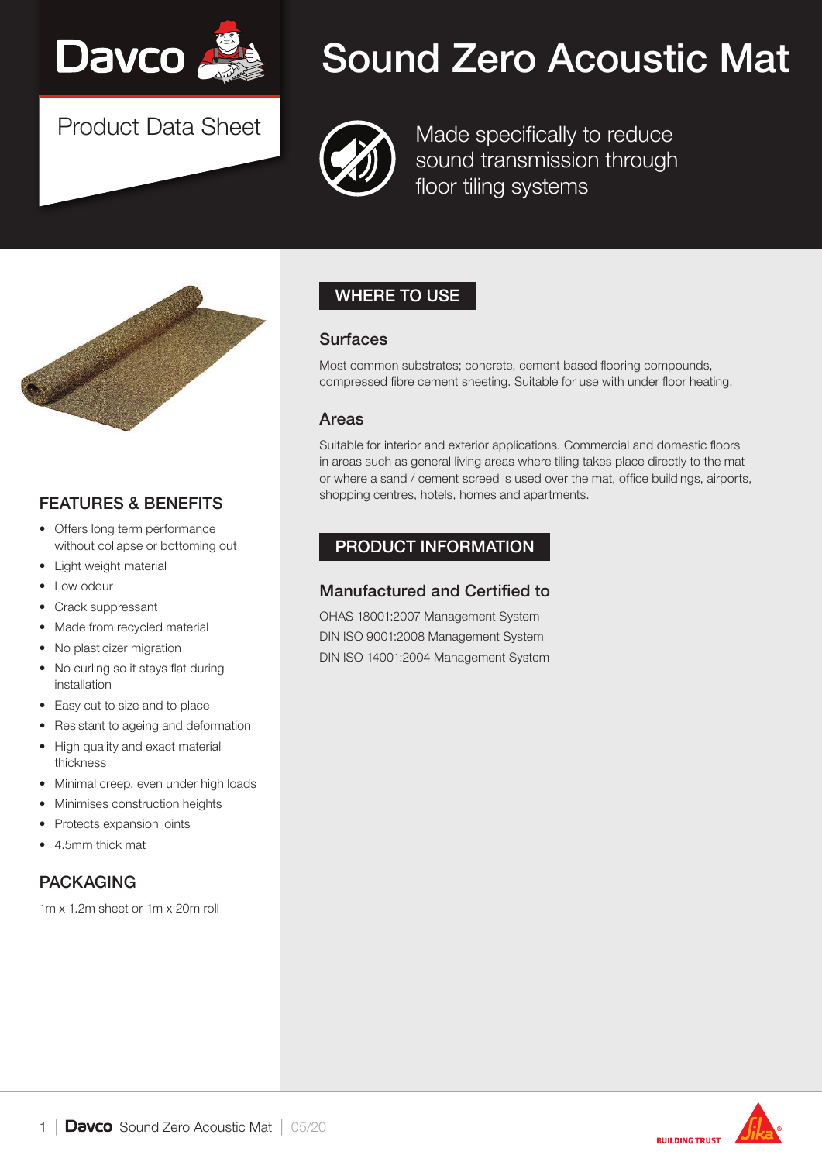

Product Data Sheet

# Sound Zero Acoustic Mat



Made specifically to reduce sound transmission through floor tiling systems



#### FEATURES & BENEFITS

- Offers long term performance without collapse or bottoming out
- **Light weight material**
- Low odour
- Crack suppressant
- Made from recycled material
- No plasticizer migration
- No curling so it stays flat during installation
- Easy cut to size and to place
- Resistant to ageing and deformation
- High quality and exact material thickness
- Minimal creep, even under high loads
- Minimises construction heights
- Protects expansion joints
- 4.5mm thick mat

#### PACKAGING

1m x 1.2m sheet or 1m x 20m roll

# WHERE TO USE

#### **Surfaces**

Most common substrates; concrete, cement based flooring compounds, compressed fibre cement sheeting. Suitable for use with under floor heating.

#### Areas

Suitable for interior and exterior applications. Commercial and domestic floors in areas such as general living areas where tiling takes place directly to the mat or where a sand / cement screed is used over the mat, office buildings, airports, shopping centres, hotels, homes and apartments.

#### PRODUCT INFORMATION

#### Manufactured and Certified to

OHAS 18001:2007 Management System DIN ISO 9001:2008 Management System DIN ISO 14001:2004 Management System

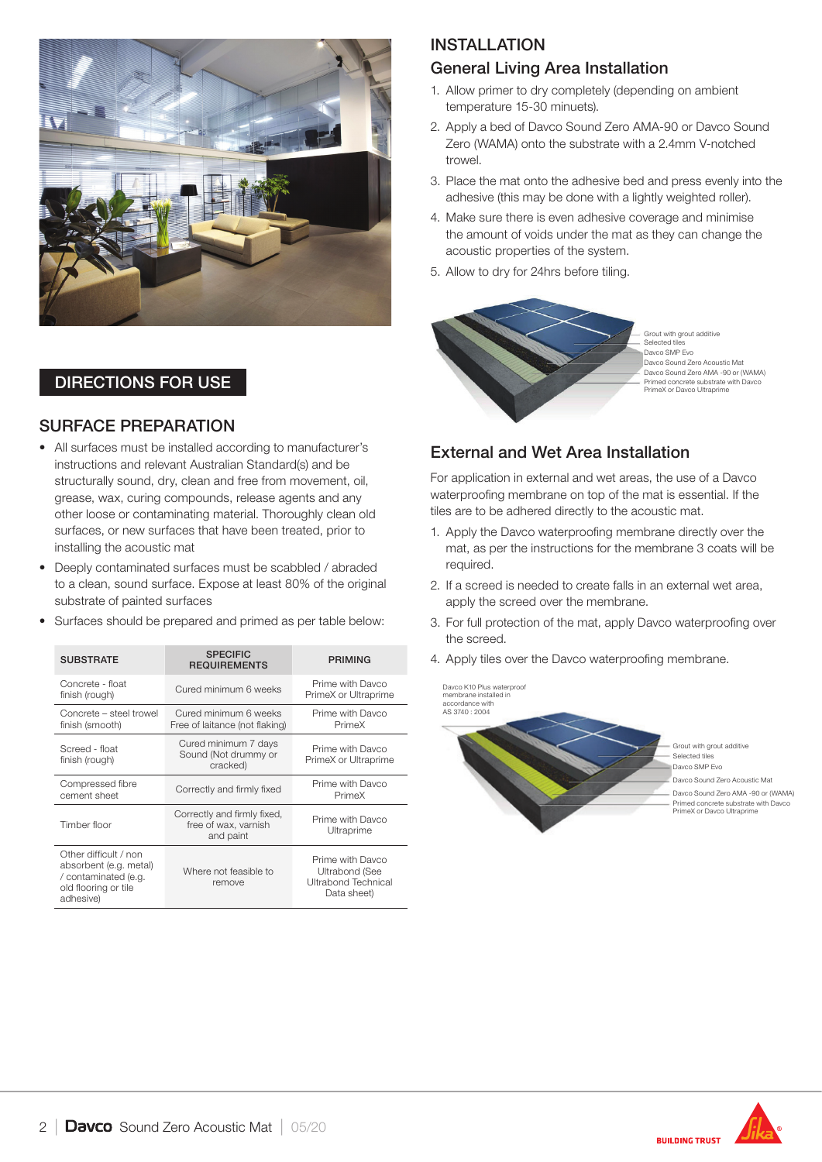

#### DIRECTIONS FOR USE

#### SURFACE PREPARATION

- All surfaces must be installed according to manufacturer's instructions and relevant Australian Standard(s) and be structurally sound, dry, clean and free from movement, oil, grease, wax, curing compounds, release agents and any other loose or contaminating material. Thoroughly clean old surfaces, or new surfaces that have been treated, prior to installing the acoustic mat
- Deeply contaminated surfaces must be scabbled / abraded to a clean, sound surface. Expose at least 80% of the original substrate of painted surfaces
- Surfaces should be prepared and primed as per table below:

| <b>SUBSTRATE</b>                                                                                             | <b>SPECIFIC</b><br><b>REQUIREMENTS</b>                           | <b>PRIMING</b>                                                                  |  |
|--------------------------------------------------------------------------------------------------------------|------------------------------------------------------------------|---------------------------------------------------------------------------------|--|
| Concrete - float<br>finish (rough)                                                                           | Cured minimum 6 weeks                                            | Prime with Davco<br>PrimeX or Ultraprime                                        |  |
| Concrete - steel trowel<br>finish (smooth)                                                                   | Cured minimum 6 weeks<br>Free of laitance (not flaking)          | Prime with Davco<br>PrimeX                                                      |  |
| Screed - float<br>finish (rough)                                                                             | Cured minimum 7 days<br>Sound (Not drummy or<br>cracked)         | Prime with Davco<br>PrimeX or Ultraprime                                        |  |
| Compressed fibre<br>cement sheet                                                                             | Correctly and firmly fixed                                       | Prime with Davco<br>PrimeX                                                      |  |
| Timber floor                                                                                                 | Correctly and firmly fixed,<br>free of wax, varnish<br>and paint | Prime with Davco<br>Ultraprime                                                  |  |
| Other difficult / non<br>absorbent (e.g. metal)<br>/ contaminated (e.g.<br>old flooring or tile<br>adhesive) | Where not feasible to<br>remove                                  | Prime with Davco<br><b>Ultrabond (See</b><br>Ultrabond Technical<br>Data sheet) |  |

# INSTALLATION

#### General Living Area Installation

- 1. Allow primer to dry completely (depending on ambient temperature 15-30 minuets).
- 2. Apply a bed of Davco Sound Zero AMA-90 or Davco Sound Zero (WAMA) onto the substrate with a 2.4mm V-notched trowel.
- 3. Place the mat onto the adhesive bed and press evenly into the adhesive (this may be done with a lightly weighted roller).
- 4. Make sure there is even adhesive coverage and minimise the amount of voids under the mat as they can change the acoustic properties of the system.
- 5. Allow to dry for 24hrs before tiling.



#### External and Wet Area Installation

For application in external and wet areas, the use of a Davco waterproofing membrane on top of the mat is essential. If the tiles are to be adhered directly to the acoustic mat.

- 1. Apply the Davco waterproofing membrane directly over the mat, as per the instructions for the membrane 3 coats will be required.
- 2. If a screed is needed to create falls in an external wet area, apply the screed over the membrane.
- 3. For full protection of the mat, apply Davco waterproofing over the screed.
- 4. Apply tiles over the Davco waterproofing membrane.